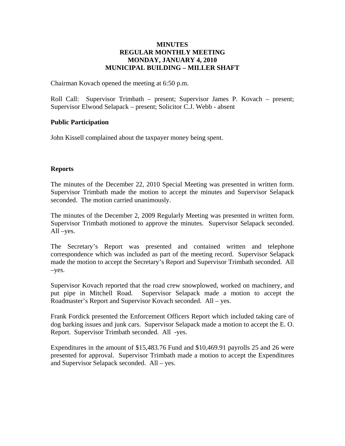## **MINUTES REGULAR MONTHLY MEETING MONDAY, JANUARY 4, 2010 MUNICIPAL BUILDING – MILLER SHAFT**

Chairman Kovach opened the meeting at 6:50 p.m.

Roll Call: Supervisor Trimbath – present; Supervisor James P. Kovach – present; Supervisor Elwood Selapack – present; Solicitor C.J. Webb - absent

## **Public Participation**

John Kissell complained about the taxpayer money being spent.

## **Reports**

The minutes of the December 22, 2010 Special Meeting was presented in written form. Supervisor Trimbath made the motion to accept the minutes and Supervisor Selapack seconded. The motion carried unanimously.

The minutes of the December 2, 2009 Regularly Meeting was presented in written form. Supervisor Trimbath motioned to approve the minutes. Supervisor Selapack seconded. All –yes.

The Secretary's Report was presented and contained written and telephone correspondence which was included as part of the meeting record. Supervisor Selapack made the motion to accept the Secretary's Report and Supervisor Trimbath seconded. All –yes.

Supervisor Kovach reported that the road crew snowplowed, worked on machinery, and put pipe in Mitchell Road. Supervisor Selapack made a motion to accept the Roadmaster's Report and Supervisor Kovach seconded. All – yes.

Frank Fordick presented the Enforcement Officers Report which included taking care of dog barking issues and junk cars. Supervisor Selapack made a motion to accept the E. O. Report. Supervisor Trimbath seconded. All -yes.

Expenditures in the amount of \$15,483.76 Fund and \$10,469.91 payrolls 25 and 26 were presented for approval. Supervisor Trimbath made a motion to accept the Expenditures and Supervisor Selapack seconded. All – yes.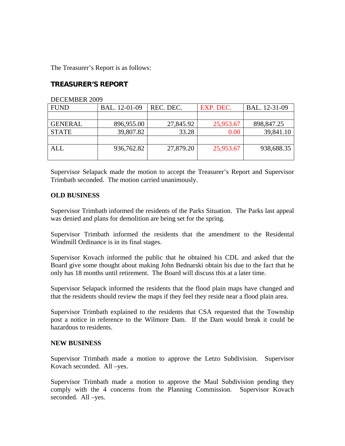The Treasurer's Report is as follows:

## **TREASURER'S REPORT**

DECEMBER 2009

| <b>FUND</b>    | BAL. 12-01-09 | REC. DEC. | EXP. DEC. | BAL. 12-31-09 |
|----------------|---------------|-----------|-----------|---------------|
|                |               |           |           |               |
| <b>GENERAL</b> | 896,955.00    | 27,845.92 | 25,953.67 | 898,847.25    |
| <b>STATE</b>   | 39,807.82     | 33.28     | 0.00      | 39,841.10     |
|                |               |           |           |               |
| ALL            | 936,762.82    | 27,879.20 | 25,953.67 | 938,688.35    |
|                |               |           |           |               |

Supervisor Selapack made the motion to accept the Treasurer's Report and Supervisor Trimbath seconded. The motion carried unanimously.

## **OLD BUSINESS**

Supervisor Trimbath informed the residents of the Parks Situation. The Parks last appeal was denied and plans for demolition are being set for the spring.

Supervisor Trimbath informed the residents that the amendment to the Residental Windmill Ordinance is in its final stages.

Supervisor Kovach informed the public that he obtained his CDL and asked that the Board give some thought about making John Bednarski obtain his due to the fact that he only has 18 months until retirement. The Board will discuss this at a later time.

Supervisor Selapack informed the residents that the flood plain maps have changed and that the residents should review the maps if they feel they reside near a flood plain area.

Supervisor Trimbath explained to the residents that CSA requested that the Township post a notice in reference to the Wilmore Dam. If the Dam would break it could be hazardous to residents.

#### **NEW BUSINESS**

Supervisor Trimbath made a motion to approve the Letzo Subdivision. Supervisor Kovach seconded. All –yes.

Supervisor Trimbath made a motion to approve the Maul Subdivision pending they comply with the 4 concerns from the Planning Commission. Supervisor Kovach seconded. All –yes.